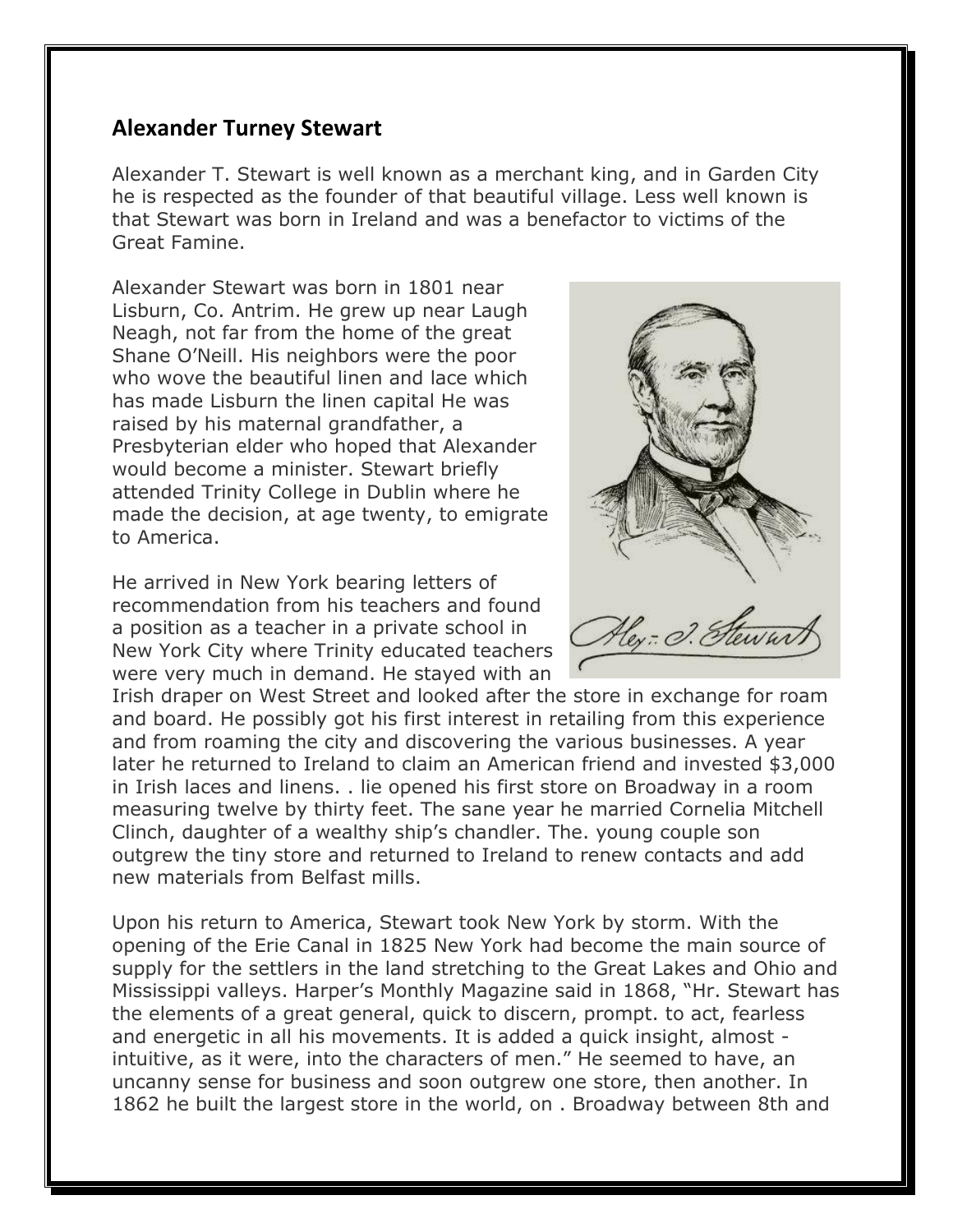## **Alexander Turney Stewart**

Alexander T. Stewart is well known as a merchant king, and in Garden City he is respected as the founder of that beautiful village. Less well known is that Stewart was born in Ireland and was a benefactor to victims of the Great Famine.

Alexander Stewart was born in 1801 near Lisburn, Co. Antrim. He grew up near Laugh Neagh, not far from the home of the great Shane O'Neill. His neighbors were the poor who wove the beautiful linen and lace which has made Lisburn the linen capital He was raised by his maternal grandfather, a Presbyterian elder who hoped that Alexander would become a minister. Stewart briefly attended Trinity College in Dublin where he made the decision, at age twenty, to emigrate to America.

He arrived in New York bearing letters of recommendation from his teachers and found a position as a teacher in a private school in New York City where Trinity educated teachers were very much in demand. He stayed with an

Irish draper on West Street and looked after the store in exchange for roam and board. He possibly got his first interest in retailing from this experience and from roaming the city and discovering the various businesses. A year later he returned to Ireland to claim an American friend and invested \$3,000 in Irish laces and linens. . lie opened his first store on Broadway in a room measuring twelve by thirty feet. The sane year he married Cornelia Mitchell Clinch, daughter of a wealthy ship's chandler. The. young couple son outgrew the tiny store and returned to Ireland to renew contacts and add new materials from Belfast mills.

Upon his return to America, Stewart took New York by storm. With the opening of the Erie Canal in 1825 New York had become the main source of supply for the settlers in the land stretching to the Great Lakes and Ohio and Mississippi valleys. Harper's Monthly Magazine said in 1868, "Hr. Stewart has the elements of a great general, quick to discern, prompt. to act, fearless and energetic in all his movements. It is added a quick insight, almost intuitive, as it were, into the characters of men." He seemed to have, an uncanny sense for business and soon outgrew one store, then another. In 1862 he built the largest store in the world, on . Broadway between 8th and

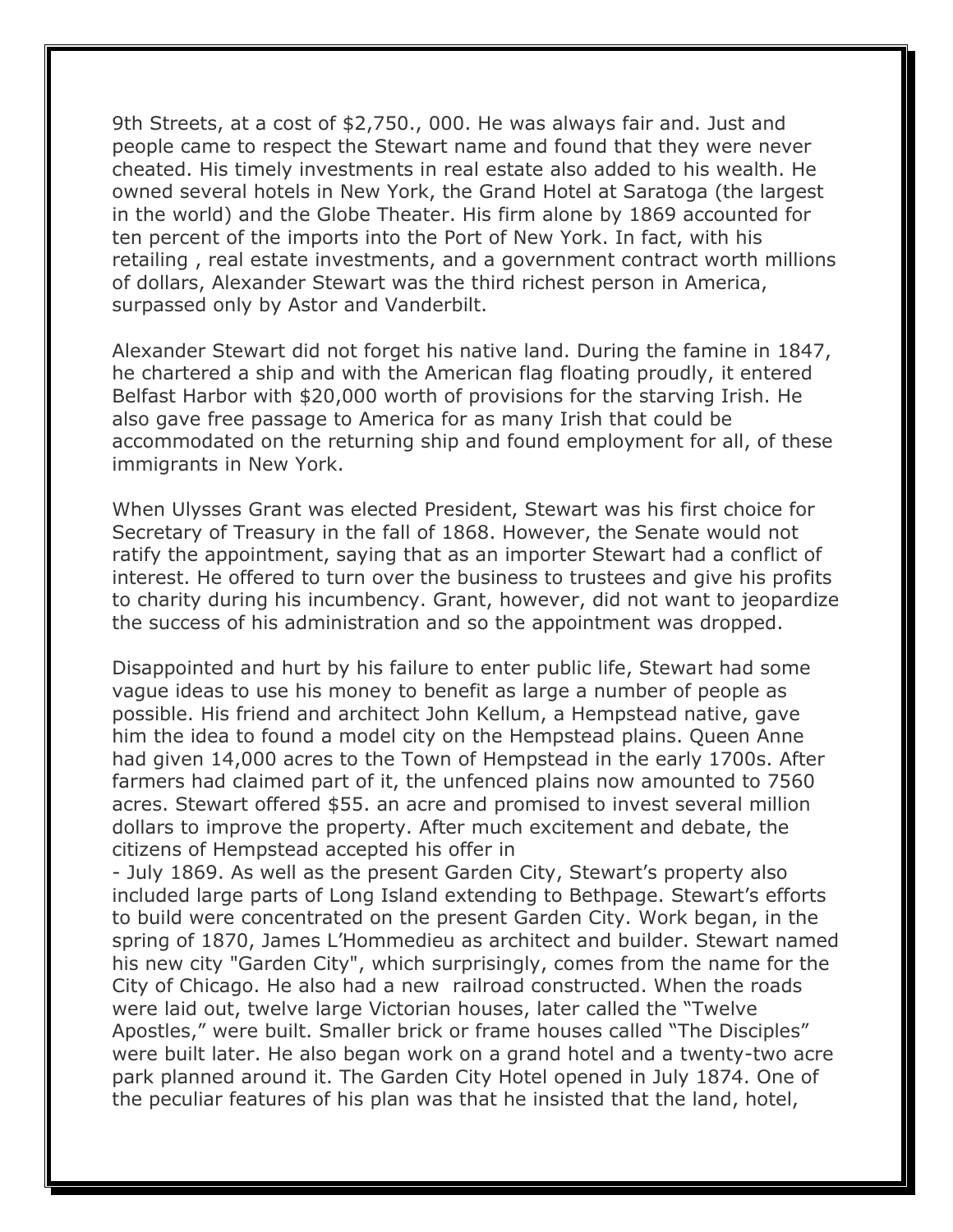9th Streets, at a cost of \$2,750., 000. He was always fair and. Just and people came to respect the Stewart name and found that they were never cheated. His timely investments in real estate also added to his wealth. He owned several hotels in New York, the Grand Hotel at Saratoga (the largest in the world) and the Globe Theater. His firm alone by 1869 accounted for ten percent of the imports into the Port of New York. In fact, with his retailing , real estate investments, and a government contract worth millions of dollars, Alexander Stewart was the third richest person in America, surpassed only by Astor and Vanderbilt.

Alexander Stewart did not forget his native land. During the famine in 1847, he chartered a ship and with the American flag floating proudly, it entered Belfast Harbor with \$20,000 worth of provisions for the starving Irish. He also gave free passage to America for as many Irish that could be accommodated on the returning ship and found employment for all, of these immigrants in New York.

When Ulysses Grant was elected President, Stewart was his first choice for Secretary of Treasury in the fall of 1868. However, the Senate would not ratify the appointment, saying that as an importer Stewart had a conflict of interest. He offered to turn over the business to trustees and give his profits to charity during his incumbency. Grant, however, did not want to jeopardize the success of his administration and so the appointment was dropped.

Disappointed and hurt by his failure to enter public life, Stewart had some vague ideas to use his money to benefit as large a number of people as possible. His friend and architect John Kellum, a Hempstead native, gave him the idea to found a model city on the Hempstead plains. Queen Anne had given 14,000 acres to the Town of Hempstead in the early 1700s. After farmers had claimed part of it, the unfenced plains now amounted to 7560 acres. Stewart offered \$55. an acre and promised to invest several million dollars to improve the property. After much excitement and debate, the citizens of Hempstead accepted his offer in

- July 1869. As well as the present Garden City, Stewart's property also included large parts of Long Island extending to Bethpage. Stewart's efforts to build were concentrated on the present Garden City. Work began, in the spring of 1870, James L'Hommedieu as architect and builder. Stewart named his new city "Garden City", which surprisingly, comes from the name for the City of Chicago. He also had a new railroad constructed. When the roads were laid out, twelve large Victorian houses, later called the "Twelve Apostles," were built. Smaller brick or frame houses called "The Disciples" were built later. He also began work on a grand hotel and a twenty-two acre park planned around it. The Garden City Hotel opened in July 1874. One of the peculiar features of his plan was that he insisted that the land, hotel,